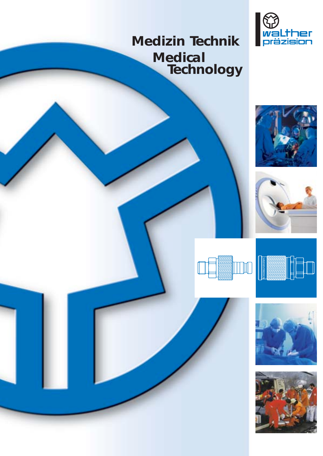# **Medizin Technik Medical Technology**













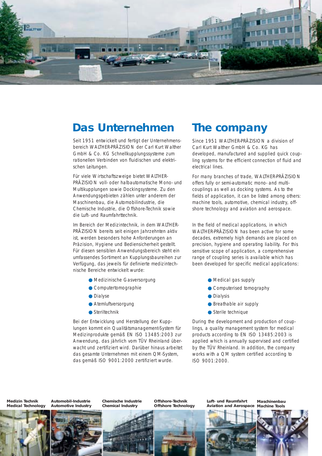

## **Das Unternehmen**

Seit 1951 entwickelt und fertigt der Unternehmensbereich WALTHER-PRÄZISION der Carl Kurt Walther GmbH & Co. KG Schnellkupplungssysteme zum rationellen Verbinden von fluidischen und elektrischen Leitungen.

Für viele Wirtschaftszweige bietet WALTHER-PRÄZISION voll- oder halbautomatische Mono- und Multikupplungen sowie Dockingsysteme. Zu den Anwendungsgebieten zählen unter anderem der Maschinenbau, die Automobilindustrie, die Chemische Industrie, die Offshore-Technik sowie die Luft- und Raumfahrttechnik.

Im Bereich der Medizintechnik, in dem WALTHER-PRÄZISION bereits seit einigen Jahrzehnten aktiv ist, werden besonders hohe Anforderungen an Präzision, Hygiene und Bediensicherheit gestellt. Für diesen sensiblen Anwendungsbereich steht ein umfassendes Sortiment an Kupplungsbaureihen zur Verfügung, das jeweils für definierte medizintechnische Bereiche entwickelt wurde:

- Medizinische Gasversorgung
- Computertomographie
- Dialyse
- Atemluftversorgung
- Steriltechnik

Bei der Entwicklung und Herstellung der Kupplungen kommt ein Qualitätsmanagement-System für Medizinprodukte gemäß EN ISO 13485:2003 zur Anwendung, das jährlich vom TÜV Rheinland überwacht und zertifiziert wird. Darüber hinaus arbeitet das gesamte Unternehmen mit einem QM-System, das gemäß ISO 9001:2000 zertifiziert wurde.

## **The company**

Since 1951 WALTHER-PRÄZISION a division of Carl Kurt Walther GmbH & Co. KG has developed, manufactured and supplied quick coupling systems for the efficient connection of fluid and electrical lines.

For many branches of trade, WALTHER-PRÄZISION offers fully or semi-automatic mono- and multicouplings as well as docking systems. As to the fields of application, it can be listed among others: machine tools, automotive, chemical industry, offshore technology and aviation and aerospace.

In the field of medical applications, in which WALTHER-PRÄZISION has been active for some decades, extremely high demands are placed on precision, hygiene and operating liability. For this sensitive scope of application, a comprehensive range of coupling series is available which has been developed for specific medical applications:

- Medical gas supply
- Computerised tomography
- Dialysis
- Breathable air supply
- Sterile technique

During the development and production of couplings, a quality management system for medical products according to EN ISO 13485:2003 is applied which is annually supervised and certified by the TÜV Rheinland. In addition, the company works with a QM system certified according to ISO 9001:2000.

**Medizin Technik Medical Technology**





**Chemische Industrie Chemical Industry**

**Offshore-Technik Offshore Technology**



**Luft- und Raumfahrt Aviation and Aerospace**

**Maschinenbau Machine Tools**

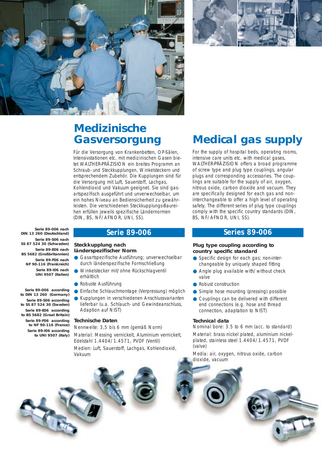



# **Medizinische Gasversorgung**

Für die Versorgung von Krankenbetten, OP-Sälen, Intensivstationen etc. mit medizinischen Gasen bietet WALTHER-PRÄZISION ein breites Programm an Schraub- und Steckkupplungen, Winkelsteckern und entsprechendem Zubehör. Die Kupplungen sind für die Versorgung mit Luft, Sauerstoff, Lachgas, Kohlendioxid und Vakuum geeignet. Sie sind gasartspezifisch ausgeführt und unverwechselbar, um ein hohes Niveau an Bediensicherheit zu gewährleisten. Die verschiedenen Steckkupplungs-Baureihen erfüllen jeweils spezifische Ländernormen (DIN, BS, NF/AFNOR, UNI, SS).

**Serie 89-006 nach DIN 13 260 (Deutschland) Serie 89-S06 nach SS 87 524 30 (Schweden) Serie 89-E06 nach BS 5682 (Großbritannien) Serie 89-F06 nach NF 90-116 (Frankreich) Serie 89-I06 nach UNI 9507 (Italien)** 

**Serie 89-006 according to DIN 13 260 (Germany) Serie 89-S06 according to SS 87 524 30 (Sweden) Serie 89-E06 according to BS 5682 (Great Britain) Serie 89-F06 according to NF 90-116 (France) Serie 89-I06 according to UNI 9507 (Italy)** 

#### **Steckkupplung nach länderspezifischer Norm**

- Gasartspezifische Ausführung; unverwechselbar durch länderspezifische Formschließung
- Winkelstecker mit/ohne Rückschlagventil erhältlich
- Robuste Ausführung
- Einfache Schlauchmontage (Verpressung) möglich
- Kupplungen in verschiedenen Anschlussvarianten lieferbar (u.a. Schlauch- und Gewindeanschluss, Adaption auf NIST)

#### **Technische Daten**

Nennweite: 3,5 bis 6 mm (gemäß Norm) Material: Messing vernickelt, Aluminium vernickelt, Edelstahl 1.4404/1.4571, PVDF (Ventil) Medien: Luft, Sauerstoff, Lachgas, Kohlendioxid, Vakuum



For the supply of hospital beds, operating rooms, intensive care units etc. with medical gases, WALTHER-PRÄZISION offers a broad programme of screw type and plug type couplings, angular plugs and corresponding accessories. The couplings are suitable for the supply of air, oxygen, nitrous oxide, carbon dioxide and vacuum. They are specifically designed for each gas and noninterchangeable to offer a high level of operating safety. The different series of plug type couplings comply with the specific country standards (DIN, BS, NF/AFNOR, UNI, SS).

### **Serie 89-006 Series 89-006**

#### **Plug type coupling according to country specific standard**

- Specific design for each gas; non-interchangeable by uniquely shaped fitting
- Angle plug available with/without check valve
- Robust construction
- Simple hose mounting (pressing) possible
- Couplings can be delivered with different end connections (e.g. hose and thread connection, adaptation to NIST)

#### **Technical data**

Nominal bore: 3.5 to 6 mm (acc. to standard) Material: brass nickel plated, aluminium nickelplated, stainless steel 1.4404/1.4571, PVDF (valve)

Media: air, oxygen, nitrous oxide, carbon dioxide, vacuum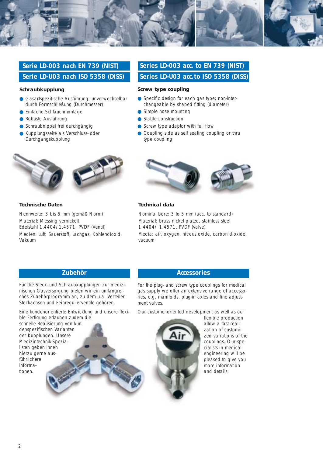

## **Serie LD-003 nach EN 739 (NIST) Serie LD-U03 nach ISO 5358 (DISS)**

#### **Schraubkupplung**

- Gasartspezifische Ausführung; unverwechselbar durch Formschließung (Durchmesser)
- Einfache Schlauchmontage
- Robuste Ausführung
- Schraubnippel frei durchgängig
- Kupplungsseite als Verschluss- oder Durchgangskupplung



#### **Technische Daten**

Nennweite: 3 bis 5 mm (gemäß Norm) Material: Messing vernickelt Edelstahl 1.4404/1.4571, PVDF (Ventil) Medien: Luft, Sauerstoff, Lachgas, Kohlendioxid, Vakuum

## **Series LD-003 acc. to EN 739 (NIST) Series LD-U03 acc.to ISO 5358 (DISS)**

#### **Screw type coupling**

- Specific design for each gas type; non-interchangeable by shaped fitting (diameter)
- Simple hose mounting
- Stable construction
- Screw type adaptor with full flow
- Coupling side as self sealing coupling or thru type coupling



#### **Technical data**

Nominal bore: 3 to 5 mm (acc. to standard) Material: brass nickel plated, stainless steel 1.4404/ 1.4571, PVDF (valve) Media: air, oxygen, nitrous oxide, carbon dioxide, vacuum

Für die Steck- und Schraubkupplungen zur medizinischen Gasversorgung bieten wir ein umfangreiches Zubehörprogramm an, zu dem u.a. Verteiler, Steckachsen und Feinregulierventile gehören.

Eine kundenorientierte Entwicklung und unsere flexible Fertigung erlauben zudem die

schnelle Realisierung von kundenspezifischen Varianten der Kupplungen. Unsere Medizintechnik-Spezialisten geben Ihnen hierzu gerne ausführlichere Informationen.

### **Zubehör Accessories**

For the plug- and screw type couplings for medical gas supply we offer an extensive range of accessories, e.g. manifolds, plug-in axles and fine adjustment valves.

Our customer-oriented development as well as our



flexible production allow a fast realization of customized variations of the couplings. Our specialists in medical engineering will be pleased to give you more information and details.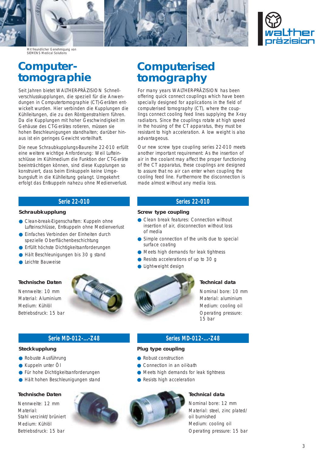



Mit freundlicher Genehmigung von SIEMENS Medical Solutions

## **Computertomographie**

Seit Jahren bietet WALTHER-PRÄZISION Schnellverschlusskupplungen, die speziell für die Anwendungen in Computertomographie (CT)-Geräten entwickelt wurden. Hier verbinden die Kupplungen die Kühlleitungen, die zu den Röntgenstrahlern führen. Da die Kupplungen mit hoher Geschwindigkeit im Gehäuse des CT-Gerätes rotieren, müssen sie hohen Beschleunigungen standhalten; darüber hinaus ist ein geringes Gewicht vorteilhaft.

Die neue Schraubkupplungs-Baureihe 22-010 erfüllt eine weitere wichtige Anforderung: Weil Lufteinschlüsse im Kühlmedium die Funktion der CT-Geräte beeinträchtigen können, sind diese Kupplungen so konstruiert, dass beim Einkuppeln keine Umgebungsluft in die Kühlleitung gelangt. Umgekehrt erfolgt das Entkuppeln nahezu ohne Medienverlust.

### **Serie 22-010 Series 22-010**

#### **Schraubkupplung**

- Clean-break-Eigenschaften: Kuppeln ohne Lufteinschlüsse, Entkuppeln ohne Medienverlust
- Einfaches Verbinden der Einheiten durch spezielle Oberflächenbeschichtung
- Erfüllt höchste Dichtigkeitsanforderungen
- Hält Beschleunigungen bis 30 g stand
- Leichte Bauweise

#### **Technische Daten**

Nennweite: 10 mm Material: Aluminium Medium: Kühlöl Betriebsdruck: 15 bar



### **Serie MD-012-...-Z48 Series MD-012-...-Z48**

#### **Steckkupplung**

- Robuste Ausführung
- Kuppeln unter Öl
- Für hohe Dichtigkeitsanforderungen
- Hält hohen Beschleunigungen stand

#### **Technische Daten**

Nennweite: 12 mm Material<sup>.</sup> Stahl verzinkt/brüniert Medium: Kühlöl Betriebsdruck: 15 bar

## **Computerised tomography**

For many years WALTHER-PRÄZISION has been offering quick connect couplings which have been specially designed for applications in the field of computerised tomography (CT), where the couplings connect cooling feed lines supplying the X-ray radiators. Since the couplings rotate at high speed in the housing of the CT apparatus, they must be resistant to high acceleration. A low weight is also advantageous.

Our new screw type coupling series 22-010 meets another important requirement: As the insertion of air in the coolant may affect the proper functioning of the CT apparatus, these couplings are designed to assure that no air can enter when coupling the cooling feed line. Furthermore the disconnection is made almost without any media loss.

#### **Screw type coupling**

- Clean break features: Connection without insertion of air, disconnection without loss of media
- Simple connection of the units due to special surface coating
- Meets high demands for leak tightness
- Resists accelerations of up to 30 g
- Light-weight design



### **Technical data**

Nominal bore: 10 mm Material: aluminium Medium: cooling oil Operating pressure: 15 bar

#### **Plug type coupling**

- Robust construction
- Connection in an oil-bath
- Meets high demands for leak tightness
- Resists high acceleration



#### **Technical data**

Nominal bore: 12 mm Material: steel, zinc plated/ oil burnished Medium: cooling oil Operating pressure: 15 bar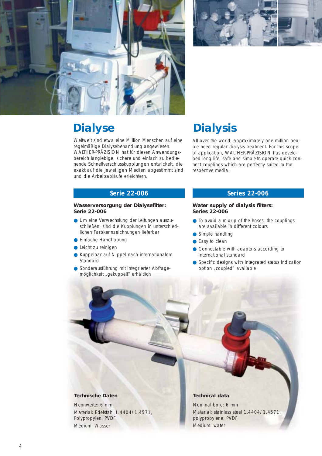



# **Dialyse**

Weltweit sind etwa eine Million Menschen auf eine regelmäßige Dialysebehandlung angewiesen. WALTHER-PRÄZISION hat für diesen Anwendungsbereich langlebige, sichere und einfach zu bedienende Schnellverschlusskupplungen entwickelt, die exakt auf die jeweiligen Medien abgestimmt sind und die Arbeitsabläufe erleichtern.

# **Dialysis**

All over the world, approximately one million people need regular dialysis treatment. For this scope of application, WALTHER-PRÄZISION has developed long life, safe and simple-to-operate quick connect couplings which are perfectly suited to the respective media.

#### **Wasserversorgung der Dialysefilter: Serie 22-006**

- Um eine Verwechslung der Leitungen auszuschließen, sind die Kupplungen in unterschiedlichen Farbkennzeichnungen lieferbar
- Einfache Handhabung
- Leicht zu reinigen
- Kuppelbar auf Nippel nach internationalem **Standard**
- Sonderausführung mit integrierter Abfragemöglichkeit "gekuppelt" erhältlich

### **Serie 22-006 Series 22-006**

#### **Water supply of dialysis filters: Series 22-006**

- To avoid a mix-up of the hoses, the couplings are available in different colours
- Simple handling
- Easy to clean
- Connectable with adaptors according to international standard
- Specific designs with integrated status indication option "coupled" available

### **Technische Daten**

Nennweite: 6 mm Material: Edelstahl 1.4404/1.4571, Polypropylen, PVDF Medium: Wasser

### **Technical data**

Nominal bore: 6 mm Material: stainless steel 1.4404/1.4571, polypropylene, PVDF Medium: water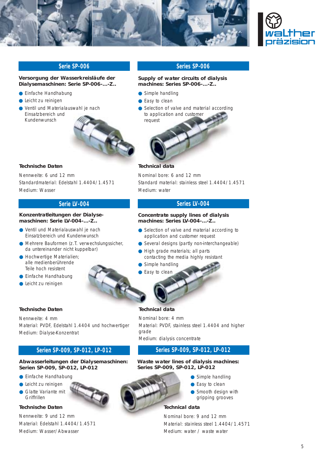



#### **Versorgung der Wasserkreisläufe der Dialysemaschinen: Serie SP-006-...-Z..**

- Einfache Handhabung
- Leicht zu reinigen
- Ventil und Materialauswahl je nach Einsatzbereich und Kundenwunsch



#### **Supply of water circuits of dialysis machines: Series SP-006-...-Z..**

- Simple handling
- Easy to clean
- Selection of valve and material according to application and customer request



#### **Technische Daten**

Nennweite: 6 und 12 mm Standardmaterial: Edelstahl 1.4404/1.4571 Medium: Wasser

#### **Konzentratleitungen der Dialysemaschinen: Serie LV-004-...-Z..**

- Ventil und Materialauswahl je nach Einsatzbereich und Kundenwunsch
- Mehrere Bauformen (z.T. verwechslungssicher, da untereinander nicht kuppelbar)
- Hochwertige Materialien; alle medienberührende Teile hoch resistent
- Einfache Handhabung
- Leicht zu reinigen

#### **Technische Daten**

Nennweite: 4 mm Material: PVDF, Edelstahl 1.4404 und hochwertiger Medium: Dialyse-Konzentrat

#### **Serien SP-009, SP-012, LP-012 Series SP-009, SP-012, LP-012**

#### **Abwasserleitungen der Dialysemaschinen: Serien SP-009, SP-012, LP-012**

- Einfache Handhabung
- Leicht zu reinigen
- Glatte Variante mit Griffrillen

**Technische Daten** 

Nennweite: 9 und 12 mm Material: Edelstahl 1.4404/1.4571 Medium: Wasser/Abwasser



#### **Technical data**

Nominal bore: 6 and 12 mm Standard material: stainless steel 1.4404/1.4571 Medium: water

### **Serie LV-004 Series LV-004**

#### **Concentrate supply lines of dialysis machines: Series LV-004-...-Z..**

- Selection of valve and material according to application and customer request
- Several designs (partly non-interchangeable)
- High grade materials; all parts contacting the media highly resistant
- Simple handling
- Easy to clean

#### **Technical data**

Nominal bore: 4 mm Material: PVDF, stainless steel 1.4404 and higher grade Medium: dialysis concentrate

#### **Waste water lines of dialysis machines: Series SP-009, SP-012, LP-012**

- Simple handling
- Easy to clean
- Smooth design with gripping grooves

### **Technical data**

Nominal bore: 9 and 12 mm Material: stainless steel 1.4404/1.4571 Medium: water / waste water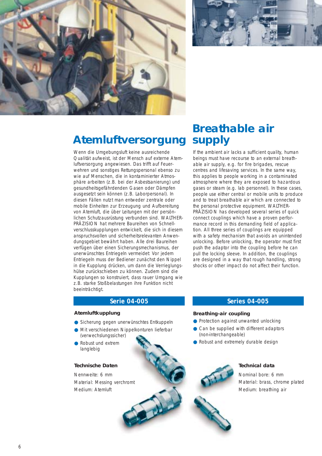



# **Atemluftversorgung**

Wenn die Umgebungsluft keine ausreichende Qualität aufweist, ist der Mensch auf externe Atemluftversorgung angewiesen. Das trifft auf Feuerwehren und sonstiges Rettungspersonal ebenso zu wie auf Menschen, die in kontaminierter Atmosphäre arbeiten (z.B. bei der Asbestsanierung) und gesundheitsgefährdenden Gasen oder Dämpfen ausgesetzt sein können (z.B. Laborpersonal). In diesen Fällen nutzt man entweder zentrale oder mobile Einheiten zur Erzeugung und Aufbereitung von Atemluft, die über Leitungen mit der persönlichen Schutzausrüstung verbunden sind. WALTHER-PRÄZISION hat mehrere Baureihen von Schnellverschlusskupplungen entwickelt, die sich in diesem anspruchsvollen und sicherheitsrelevanten Anwendungsgebiet bewährt haben. Alle drei Baureihen verfügen über einen Sicherungsmechanismus, der unerwünschtes Entriegeln vermeidet: Vor jedem Entriegeln muss der Bediener zunächst den Nippel in die Kupplung drücken, um dann die Verrieglungshülse zurückschieben zu können. Zudem sind die Kupplungen so konstruiert, dass rauer Umgang wie z.B. starke Stoßbelastungen ihre Funktion nicht beeinträchtigt.

## **Breathable air supply**

If the ambient air lacks a sufficient quality, human beings must have recourse to an external breathable air supply, e.g. for fire brigades, rescue centres and lifesaving services. In the same way, this applies to people working in a contaminated atmosphere where they are exposed to hazardous gases or steam (e.g. lab personnel). In these cases, people use either central or mobile units to produce and to treat breathable air which are connected to the personal protective equipment. WALTHER-PRÄZISION has developed several series of quick connect couplings which have a proven performance record in this demanding field of application. All three series of couplings are equipped with a safety mechanism that avoids an unintended unlocking. Before unlocking, the operator must first push the adaptor into the coupling before he can pull the locking sleeve. In addition, the couplings are designed in a way that rough handling, strong shocks or other impact do not affect their function.

#### **Atemluftkupplung**

- Sicherung gegen unerwünschtes Entkuppeln
- Mit verschiedenen Nippelkonturen lieferbar
- (verwechslungssicher) ● Robust und extrem langlebig

#### **Technische Daten**

Nennweite: 6 mm Material: Messing verchromt Medium: Atemluft

### **Serie 04-005 Series 04-005**

#### **Breathing-air coupling**

- Protection against unwanted unlocking
- Can be supplied with different adaptors (non-interchangeable)
- Robust and extremely durable design

#### **Technical data**

Nominal bore: 6 mm Material: brass, chrome plated Medium: breathing air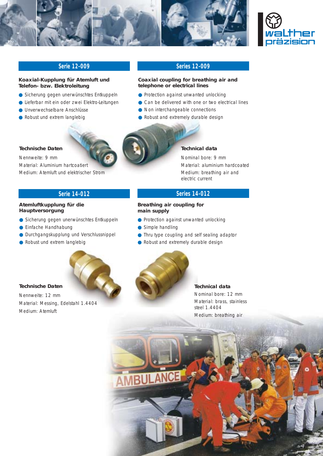



### **Serie 12-009 Series 12-009**

#### **Koaxial-Kupplung für Atemluft und Telefon- bzw. Elektroleitung**

- Sicherung gegen unerwünschtes Entkuppeln
- Lieferbar mit ein oder zwei Elektro-Leitungen
- Unverwechselbare Anschlüsse
- Robust und extrem langlebig

#### **Coaxial coupling for breathing air and telephone or electrical lines**

- Protection against unwanted unlocking
- Can be delivered with one or two electrical lines
- Non interchangeable connections
- Robust and extremely durable design



#### **Technical data**

Nominal bore: 9 mm Material: aluminium hardcoated Medium: breathing air and electric current

### **Serie 14-012 Series 14-012**

#### **Breathing air coupling for main supply**

- Protection against unwanted unlocking
- Simple handling
- Thru type coupling and self sealing adaptor
- Robust and extremely durable design



## **Technical data**  Nominal bore: 12 mm Material: brass, stainless

steel 1.4404 Medium: breathing air



## **Hauptversorgung**

**Technische Daten**  Nennweite: 9 mm

- Sicherung gegen unerwünschtes Entkuppeln
- Einfache Handhabung
- Durchgangskupplung und Verschlussnippel
- Robust und extrem langlebig

**Atemluftkupplung für die**

Material: Aluminium hartcoatiert

Medium: Atemluft und elektrischer Strom

#### **Technische Daten**

Nennweite: 12 mm Material: Messing, Edelstahl 1.4404 Medium: Atemluft